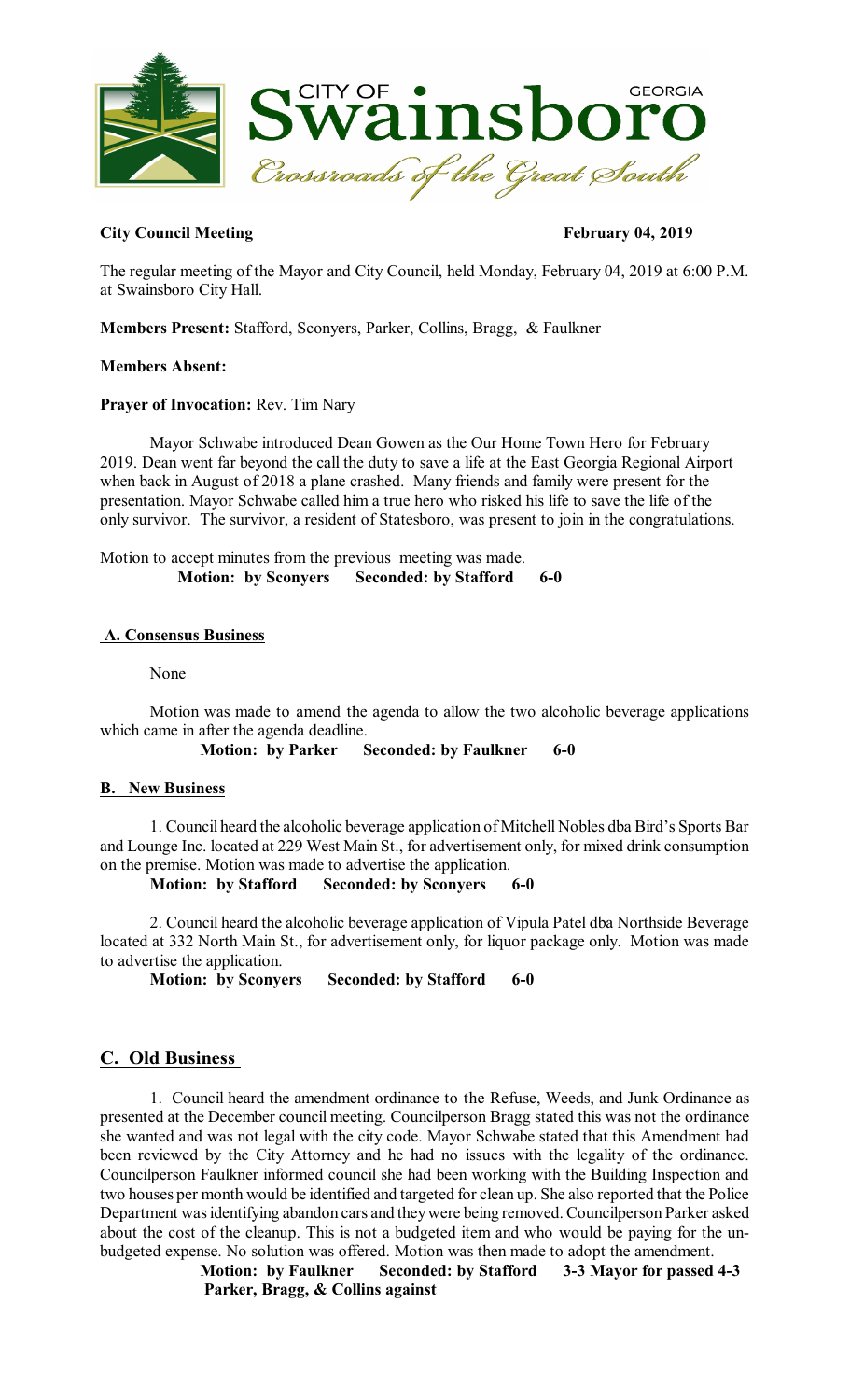

# **City Council Meeting February 04, 2019**

The regular meeting of the Mayor and City Council, held Monday, February 04, 2019 at 6:00 P.M. at Swainsboro City Hall.

**Members Present:** Stafford, Sconyers, Parker, Collins, Bragg, & Faulkner

# **Members Absent:**

# **Prayer of Invocation:** Rev. Tim Nary

Mayor Schwabe introduced Dean Gowen as the Our Home Town Hero for February 2019. Dean went far beyond the call the duty to save a life at the East Georgia Regional Airport when back in August of 2018 a plane crashed. Many friends and family were present for the presentation. Mayor Schwabe called him a true hero who risked his life to save the life of the only survivor. The survivor, a resident of Statesboro, was present to join in the congratulations.

Motion to accept minutes from the previous meeting was made. **Motion: by Sconyers Seconded: by Stafford 6-0** 

## **A. Consensus Business**

None

Motion was made to amend the agenda to allow the two alcoholic beverage applications which came in after the agenda deadline.

**Motion: by Parker Seconded: by Faulkner 6-0** 

# **B. New Business**

1. Council heard the alcoholic beverage application of Mitchell Nobles dba Bird's Sports Bar and Lounge Inc. located at 229 West Main St., for advertisement only, for mixed drink consumption on the premise. Motion was made to advertise the application.

**Motion: by Stafford Seconded: by Sconyers 6-0** 

2. Council heard the alcoholic beverage application of Vipula Patel dba Northside Beverage located at 332 North Main St., for advertisement only, for liquor package only. Motion was made to advertise the application.

**Motion: by Sconyers Seconded: by Stafford 6-0** 

# **C. Old Business**

1. Council heard the amendment ordinance to the Refuse, Weeds, and Junk Ordinance as presented at the December council meeting. Councilperson Bragg stated this was not the ordinance she wanted and was not legal with the city code. Mayor Schwabe stated that this Amendment had been reviewed by the City Attorney and he had no issues with the legality of the ordinance. Councilperson Faulkner informed council she had been working with the Building Inspection and two houses per month would be identified and targeted for clean up. She also reported that the Police Department wasidentifying abandon cars and theywere being removed.Councilperson Parker asked about the cost of the cleanup. This is not a budgeted item and who would be paying for the unbudgeted expense. No solution was offered. Motion was then made to adopt the amendment.<br>Motion: by Faulkner Seconded: by Stafford 3-3 Mayor for passed

**3-3 Mayor for passed 4-3 Parker, Bragg, & Collins against**